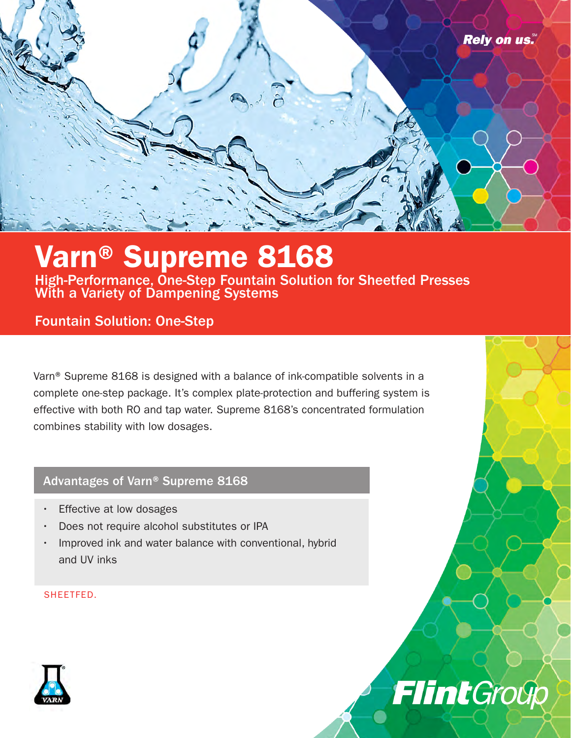

# Varn® Supreme 8168

High-Performance, One-Step Fountain Solution for Sheetfed Presses With a Variety of Dampening Systems

### Fountain Solution: One-Step

Varn® Supreme 8168 is designed with a balance of ink-compatible solvents in a complete one-step package. It's complex plate-protection and buffering system is effective with both RO and tap water. Supreme 8168's concentrated formulation combines stability with low dosages.

FlintGroup

### Advantages of Varn® Supreme 8168

- Effective at low dosages
- Does not require alcohol substitutes or IPA
- Improved ink and water balance with conventional, hybrid and UV inks

SHEETFED.